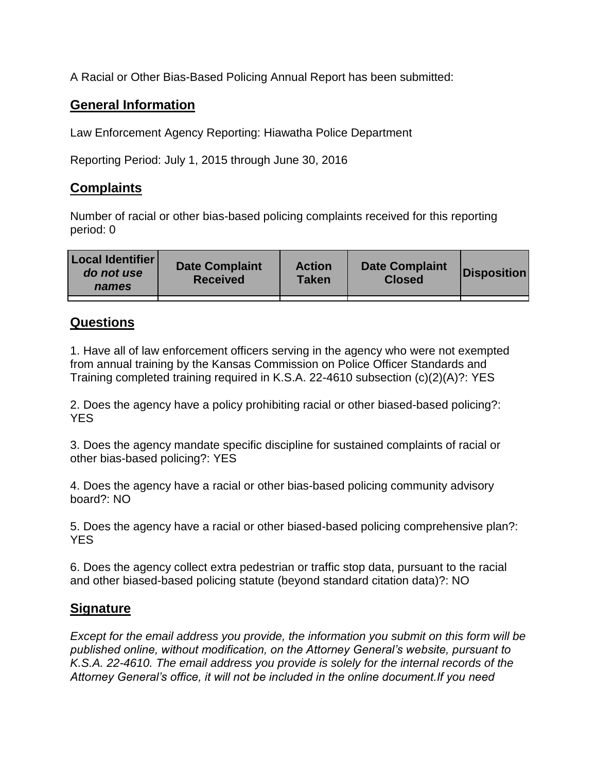A Racial or Other Bias-Based Policing Annual Report has been submitted:

## **General Information**

Law Enforcement Agency Reporting: Hiawatha Police Department

Reporting Period: July 1, 2015 through June 30, 2016

## **Complaints**

Number of racial or other bias-based policing complaints received for this reporting period: 0

| <b>Local Identifier</b><br>do not use<br>names | <b>Date Complaint</b><br><b>Received</b> | <b>Action</b><br><b>Taken</b> | <b>Date Complaint</b><br><b>Closed</b> | Disposition |
|------------------------------------------------|------------------------------------------|-------------------------------|----------------------------------------|-------------|
|                                                |                                          |                               |                                        |             |

## **Questions**

1. Have all of law enforcement officers serving in the agency who were not exempted from annual training by the Kansas Commission on Police Officer Standards and Training completed training required in K.S.A. 22-4610 subsection (c)(2)(A)?: YES

2. Does the agency have a policy prohibiting racial or other biased-based policing?: YES

3. Does the agency mandate specific discipline for sustained complaints of racial or other bias-based policing?: YES

4. Does the agency have a racial or other bias-based policing community advisory board?: NO

5. Does the agency have a racial or other biased-based policing comprehensive plan?: YES

6. Does the agency collect extra pedestrian or traffic stop data, pursuant to the racial and other biased-based policing statute (beyond standard citation data)?: NO

## **Signature**

*Except for the email address you provide, the information you submit on this form will be published online, without modification, on the Attorney General's website, pursuant to K.S.A. 22-4610. The email address you provide is solely for the internal records of the Attorney General's office, it will not be included in the online document.If you need*